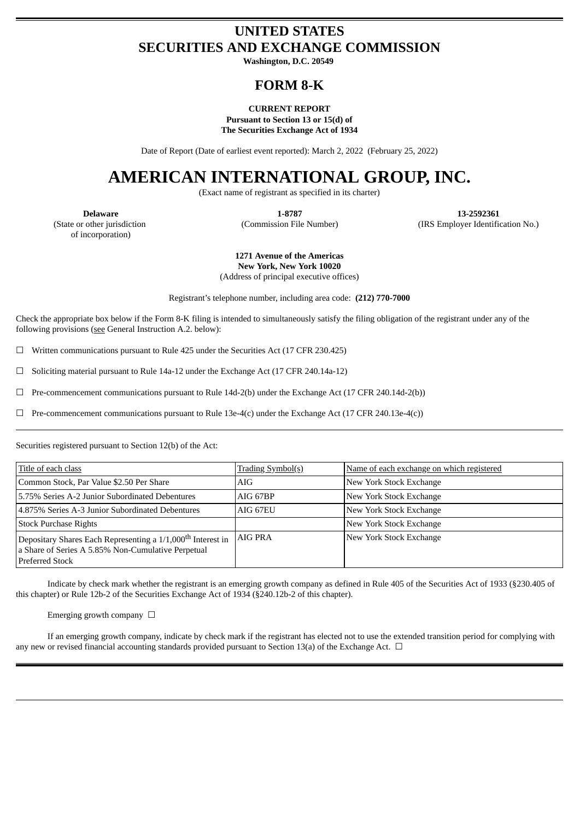## **UNITED STATES SECURITIES AND EXCHANGE COMMISSION**

**Washington, D.C. 20549**

## **FORM 8-K**

#### **CURRENT REPORT Pursuant to Section 13 or 15(d) of The Securities Exchange Act of 1934**

Date of Report (Date of earliest event reported): March 2, 2022 (February 25, 2022)

# **AMERICAN INTERNATIONAL GROUP, INC.**

(Exact name of registrant as specified in its charter)

(State or other jurisdiction of incorporation)

**Delaware 1-8787 13-2592361** (Commission File Number) (IRS Employer Identification No.)

> **1271 Avenue of the Americas New York, New York 10020**

(Address of principal executive offices)

Registrant's telephone number, including area code: **(212) 770-7000**

Check the appropriate box below if the Form 8-K filing is intended to simultaneously satisfy the filing obligation of the registrant under any of the following provisions (see General Instruction A.2. below):

 $\Box$  Written communications pursuant to Rule 425 under the Securities Act (17 CFR 230.425)

 $\Box$  Soliciting material pursuant to Rule 14a-12 under the Exchange Act (17 CFR 240.14a-12)

 $\Box$  Pre-commencement communications pursuant to Rule 14d-2(b) under the Exchange Act (17 CFR 240.14d-2(b))

 $\Box$  Pre-commencement communications pursuant to Rule 13e-4(c) under the Exchange Act (17 CFR 240.13e-4(c))

Securities registered pursuant to Section 12(b) of the Act:

| Title of each class                                                                                                                                     | <u> Trading Symbol(s)</u> | Name of each exchange on which registered |
|---------------------------------------------------------------------------------------------------------------------------------------------------------|---------------------------|-------------------------------------------|
| Common Stock, Par Value \$2.50 Per Share                                                                                                                | AIG                       | New York Stock Exchange                   |
| 5.75% Series A-2 Junior Subordinated Debentures                                                                                                         | AIG 67BP                  | New York Stock Exchange                   |
| 4.875% Series A-3 Junior Subordinated Debentures                                                                                                        | AIG 67EU                  | New York Stock Exchange                   |
| <b>Stock Purchase Rights</b>                                                                                                                            |                           | New York Stock Exchange                   |
| Depositary Shares Each Representing a 1/1,000 <sup>th</sup> Interest in<br>a Share of Series A 5.85% Non-Cumulative Perpetual<br><b>Preferred Stock</b> | AIG PRA                   | New York Stock Exchange                   |

Indicate by check mark whether the registrant is an emerging growth company as defined in Rule 405 of the Securities Act of 1933 (§230.405 of this chapter) or Rule 12b-2 of the Securities Exchange Act of 1934 (§240.12b-2 of this chapter).

Emerging growth company  $\Box$ 

If an emerging growth company, indicate by check mark if the registrant has elected not to use the extended transition period for complying with any new or revised financial accounting standards provided pursuant to Section 13(a) of the Exchange Act.  $\Box$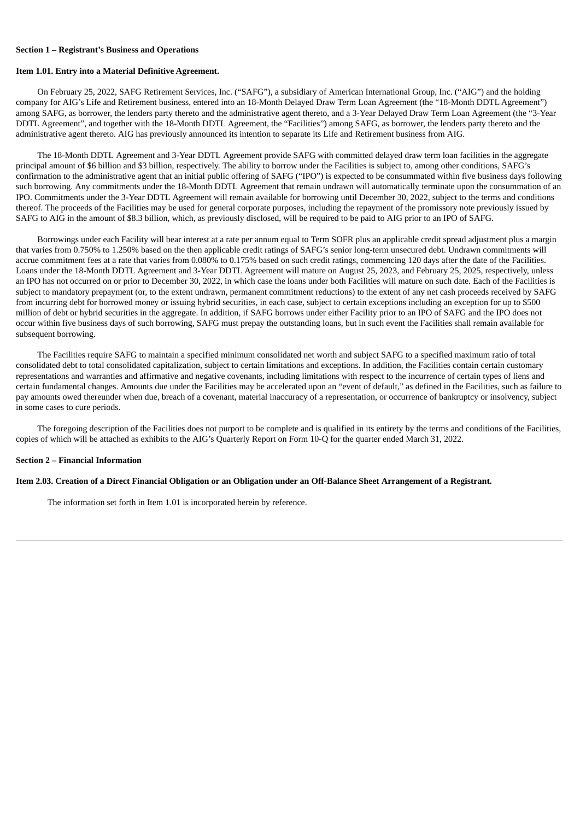#### **Section 1 – Registrant's Business and Operations**

#### **Item 1.01. Entry into a Material Definitive Agreement.**

On February 25, 2022, SAFG Retirement Services, Inc. ("SAFG"), a subsidiary of American International Group, Inc. ("AIG") and the holding company for AIG's Life and Retirement business, entered into an 18-Month Delayed Draw Term Loan Agreement (the "18-Month DDTL Agreement") among SAFG, as borrower, the lenders party thereto and the administrative agent thereto, and a 3-Year Delayed Draw Term Loan Agreement (the "3-Year DDTL Agreement", and together with the 18-Month DDTL Agreement, the "Facilities") among SAFG, as borrower, the lenders party thereto and the administrative agent thereto. AIG has previously announced its intention to separate its Life and Retirement business from AIG.

The 18-Month DDTL Agreement and 3-Year DDTL Agreement provide SAFG with committed delayed draw term loan facilities in the aggregate principal amount of \$6 billion and \$3 billion, respectively. The ability to borrow under the Facilities is subject to, among other conditions, SAFG's confirmation to the administrative agent that an initial public offering of SAFG ("IPO") is expected to be consummated within five business days following such borrowing. Any commitments under the 18-Month DDTL Agreement that remain undrawn will automatically terminate upon the consummation of an IPO. Commitments under the 3-Year DDTL Agreement will remain available for borrowing until December 30, 2022, subject to the terms and conditions thereof. The proceeds of the Facilities may be used for general corporate purposes, including the repayment of the promissory note previously issued by SAFG to AIG in the amount of \$8.3 billion, which, as previously disclosed, will be required to be paid to AIG prior to an IPO of SAFG.

Borrowings under each Facility will bear interest at a rate per annum equal to Term SOFR plus an applicable credit spread adjustment plus a margin that varies from 0.750% to 1.250% based on the then applicable credit ratings of SAFG's senior long-term unsecured debt. Undrawn commitments will accrue commitment fees at a rate that varies from 0.080% to 0.175% based on such credit ratings, commencing 120 days after the date of the Facilities. Loans under the 18-Month DDTL Agreement and 3-Year DDTL Agreement will mature on August 25, 2023, and February 25, 2025, respectively, unless an IPO has not occurred on or prior to December 30, 2022, in which case the loans under both Facilities will mature on such date. Each of the Facilities is subject to mandatory prepayment (or, to the extent undrawn, permanent commitment reductions) to the extent of any net cash proceeds received by SAFG from incurring debt for borrowed money or issuing hybrid securities, in each case, subject to certain exceptions including an exception for up to \$500 million of debt or hybrid securities in the aggregate. In addition, if SAFG borrows under either Facility prior to an IPO of SAFG and the IPO does not occur within five business days of such borrowing, SAFG must prepay the outstanding loans, but in such event the Facilities shall remain available for subsequent borrowing.

The Facilities require SAFG to maintain a specified minimum consolidated net worth and subject SAFG to a specified maximum ratio of total consolidated debt to total consolidated capitalization, subject to certain limitations and exceptions. In addition, the Facilities contain certain customary representations and warranties and affirmative and negative covenants, including limitations with respect to the incurrence of certain types of liens and certain fundamental changes. Amounts due under the Facilities may be accelerated upon an "event of default," as defined in the Facilities, such as failure to pay amounts owed thereunder when due, breach of a covenant, material inaccuracy of a representation, or occurrence of bankruptcy or insolvency, subject in some cases to cure periods.

The foregoing description of the Facilities does not purport to be complete and is qualified in its entirety by the terms and conditions of the Facilities, copies of which will be attached as exhibits to the AIG's Quarterly Report on Form 10-Q for the quarter ended March 31, 2022.

#### **Section 2 – Financial Information**

#### Item 2.03. Creation of a Direct Financial Obligation or an Obligation under an Off-Balance Sheet Arrangement of a Registrant.

The information set forth in Item 1.01 is incorporated herein by reference.